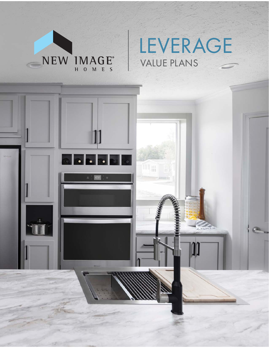

# LEVERAGE VALUE PLANS

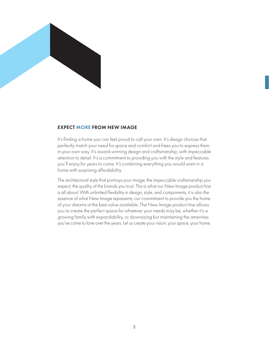

#### EXPECT MORE FROM NEW IMAGE

It's finding a home you can feel proud to call your own. It's design choices that perfectly match your need for space and comfort and frees you to express them in your own way. It's award-winning design and craftsmanship, with impeccable attention to detail. It's a commitment to providing you with the style and features you'll enjoy for years to come. It's combining everything you would want in a home with surprising affordability.

The architectural style that portrays your image, the impeccable craftsmanship you expect, the quality of the brands you trust. This is what our New Image product line is all about. With unlimited flexibility in design, style, and components, it is also the essence of what New Image represents; our commitment to provide you the home of your dreams at the best value available. The New Image product line allows you to create the perfect space for whatever your needs may be, whether it's a growing family with expandability, or downsizing but maintaining the amenities you've come to love over the years. Let us create your vision, your space, your home.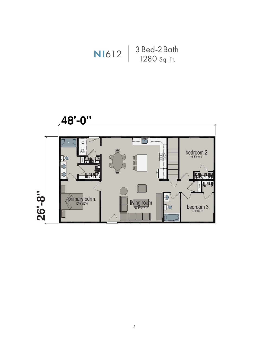

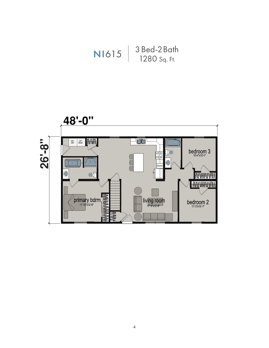

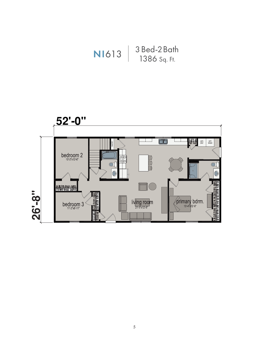

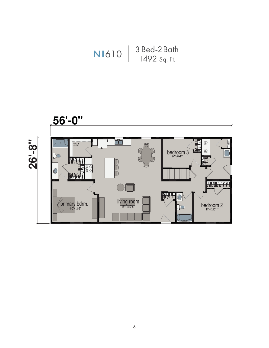

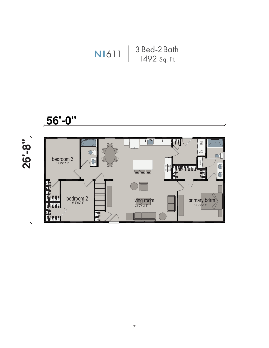

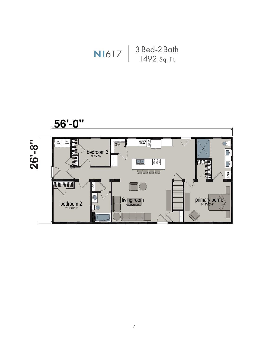

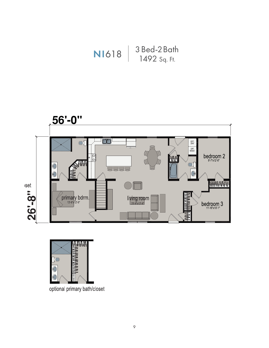





optional primary bath/closet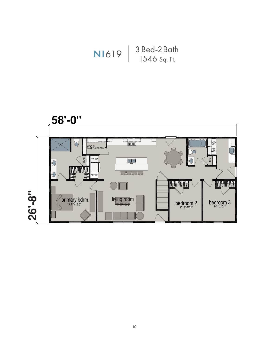

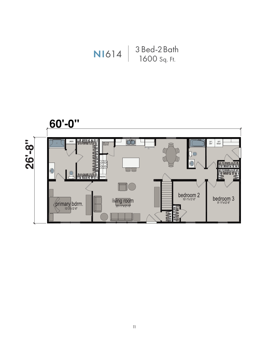

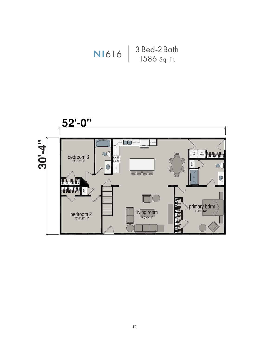

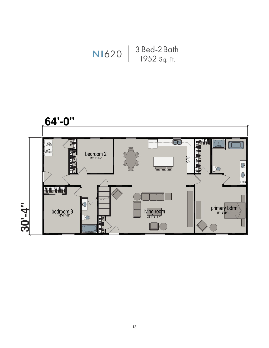# $\left[\frac{3 \text{ Bea-}2 \text{ Dun}}{1952 \text{ Sq. ft.}}\right]$ 3 Bed-2 Bath

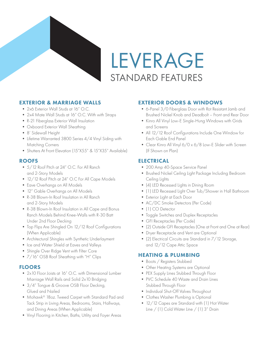

LEVERAGE STANDARD FEATURES

# EXTERIOR & MARRIAGE WALLS

- 2x6 Exterior Wall Studs at 16" O.C.
- 2x4 Mate Wall Studs at 16" O.C. With with Straps
- R-21 Fiberglass Exterior Wall Insulation
- Oxboard Exterior Wall Sheathing
- 8' Sidewall Height
- Lifetime Warranted 3800 Series 4/4 Vinyl Siding with Matching Corners
- Shutters At Front Elevation (15"X55" & 15"X35" Available)

# ROOFS

- 5/12 Roof Pitch at 24" O.C. For All Ranch and 2-Story Models
- 12/12 Roof Pitch at 24" O.C For All Cape Models
- Eave Overhangs on All Models
- 12" Gable Overhangs on All Models
- R-38 Blown-In Roof Insulation in All Ranch and 2-Story Models
- R-38 Blown-In Roof Insulation in All Cape and Bonus Ranch Models Behind Knee-Walls with R-30 Batt Under 2nd Floor Decking
- Top Flips Are Shingled On 12/12 Roof Configurations (When Applicable)
- Architectural Shingles with Synthetic Underlayment
- Ice and Water Shield at Eaves and Valleys
- Shingle Over Ridge Vent with Filter Core
- $7/16''$  OSB Roof Sheathing with "H" Clips

# FLOORS

- 2x10 Floor Joists at 16" O.C. with Dimensional Lumber Marriage Wall Rails and Solid 2x10 Bridging
- $3/4$ " Tongue & Groove OSB Floor Decking, Glued and Nailed
- Mohawk® 18oz. Tweed Carpet with Standard Pad and Tack Strip in Living Areas, Bedrooms, Stairs, Hallways, and Dining Areas (When Applicable)
- Vinyl Flooring in Kitchen, Baths, Utility and Foyer Areas

# EXTERIOR DOORS & WINDOWS

- 6-Panel 3/0 Fiberglass Door with Rot Resistant Jamb and Brushed Nickel Knob and Deadbolt – Front and Rear Door
- Kinro All Vinyl Low-E Single-Hung Windows with Grids and Screens
- All 12/12 Roof Configurations Include One Window for Each Gable End Panel
- Clear Kinro All Vinyl 6/0 x 6/8 Low-E Slider with Screen (If Shown on Plan)

# ELECTRICAL

- 200 Amp 40-Space Service Panel
- Brushed Nickel Ceiling Light Package Including Bedroom Ceiling Lights
- (4) LED Recessed Lights in Dining Room
- (1) LED Recessed Light Over Tub/Shower in Hall Bathroom
- Exterior Light at Each Door
- AC/DC Smoke Detectors (Per Code)
- (1) CO Detector
- Toggle Switches and Duplex Receptacles
- GFI Receptacles (Per Code)
- (2) Outside GFI Receptacles (One at Front and One at Rear)
- Dryer Receptacle and Vent are Optional
- (2) Electrical Circuits are Standard in 7/12 Storage, and 12/12 Cape Attic Space

# HEATING & PLUMBING

- Boots / Registers Stubbed
- Other Heating Systems are Optional
- PEX Supply Lines Stubbed Through Floor
- PVC Schedule 40 Waste and Drain Lines Stubbed Through Floor
- Individual Shut-Off Valves Throughout
- Clothes Washer Plumbing is Optional
- 12/12 Capes are Standard with (1) Hot Water Line / (1) Cold Water Line / (1) 3" Drain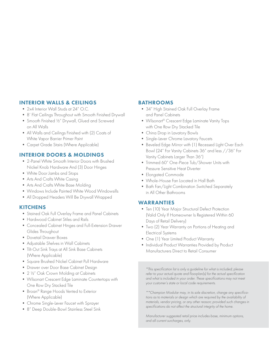#### INTERIOR WALLS & CEILINGS

- 2x4 Interior Wall Studs at 24" O.C.
- 8' Flat Ceilings Throughout with Smooth Finished Drywall
- Smooth Finished ½" Drywall, Glued and Screwed on All Walls
- All Walls and Ceilings Finished with (2) Coats of White Vapor Barrier Primer Paint
- Carpet Grade Stairs (Where Applicable)

#### INTERIOR DOORS & MOLDINGS

- 2-Panel White Smooth Interior Doors with Brushed Nickel Knob Hardware And (3) Door Hinges
- White Door Jambs and Stops
- Arts And Crafts White Casing
- Arts And Crafts White Base Molding
- Windows Include Painted White Wood Windowsills
- All Dropped Headers Will Be Drywall Wrapped

#### **KITCHENS**

- Stained Oak Full Overlay Frame and Panel Cabinets
- Hardwood Cabinet Stiles and Rails
- Concealed Cabinet Hinges and Full-Extension Drawer Glides Throughout
- Dovetail Drawer Boxes
- Adjustable Shelves in Wall Cabinets
- Tilt-Out Sink Trays at All Sink Base Cabinets (Where Applicable)
- Square Brushed Nickel Cabinet Pull Hardware
- Drawer over Door Base Cabinet Design
- 2 1/2" Oak Crown Molding at Cabinets
- Wilsonart Crescent Edge Laminate Countertops with One Row Dry Stacked Tile
- Broan® Range Hoods Vented to Exterior (Where Applicable)
- Chrome Single-Lever Faucet with Sprayer
- 8" Deep Double-Bowl Stainless Steel Sink

#### BATHROOMS

- 34" High Stained Oak Full Overlay Frame and Panel Cabinets
- Wilsonart<sup>®</sup> Crescent Edge Laminate Vanity Tops with One Row Dry Stacked Tile
- China Drop in Lavatory Bowls
- Single-Lever Chrome Lavatory Faucets
- Beveled Edge Mirror with (1) Recessed Light Over Each Bowl (24" For Vanity Cabinets 36" and less //36" For Vanity Cabinets Larger Than 36")
- Trimmed 60" One-Piece Tub/Shower Units with Pressure Sensitive Heat Diverter
- Elongated Commode
- Whole-House Fan Located in Hall Bath
- Bath Fan/Light Combination Switched Separately in All Other Bathrooms

#### WARRANTIES

- Ten (10) Year Major Structural Defect Protection (Valid Only If Homeowner Is Registered Within 60 Days of Retail Delivery)
- Two (2) Year Warranty on Portions of Heating and Electrical Systems
- One (1) Year Limited Product Warranty
- Individual Product Warranties Provided by Product Manufacturers Direct to Retail Consumer

\*This specification list is only a guideline for what is included; please refer to your actual quote and floorplan(s) for the actual specification and what is included in your order. These specifications may not meet your customer's state or local code requirements.

\*\*Champion Modular may, in its sole discretion, change any specifications as to materials or design which are required by the availability of materials, vendor pricing, or any other reason; provided such changes in specifications do not affect the structural integrity of the home.

Manufacturer suggested retail price includes base, minimum options, and all current surcharges, only.